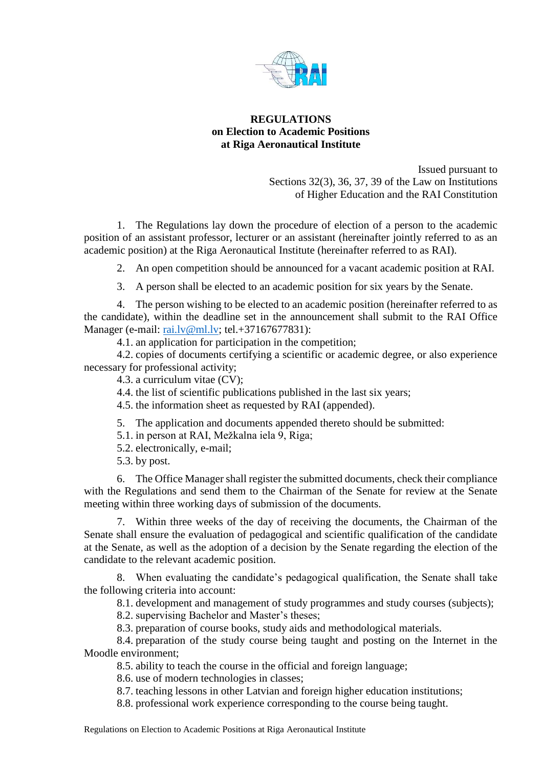

## **REGULATIONS on Election to Academic Positions at Riga Aeronautical Institute**

Issued pursuant to Sections 32(3), 36, 37, 39 of the Law on Institutions of Higher Education and the RAI Constitution

1. The Regulations lay down the procedure of election of a person to the academic position of an assistant professor, lecturer or an assistant (hereinafter jointly referred to as an academic position) at the Riga Aeronautical Institute (hereinafter referred to as RAI).

2. An open competition should be announced for a vacant academic position at RAI.

3. A person shall be elected to an academic position for six years by the Senate.

4. The person wishing to be elected to an academic position (hereinafter referred to as the candidate), within the deadline set in the announcement shall submit to the RAI Office Manager (e-mail: rai.ly@ml.ly; tel.+37167677831):

4.1. an application for participation in the competition;

4.2. copies of documents certifying a scientific or academic degree, or also experience necessary for professional activity;

4.3. a curriculum vitae (CV);

4.4. the list of scientific publications published in the last six years;

4.5. the information sheet as requested by RAI (appended).

5. The application and documents appended thereto should be submitted:

5.1. in person at RAI, Mežkalna iela 9, Riga;

5.2. electronically, e-mail;

5.3. by post.

6. The Office Manager shall register the submitted documents, check their compliance with the Regulations and send them to the Chairman of the Senate for review at the Senate meeting within three working days of submission of the documents.

7. Within three weeks of the day of receiving the documents, the Chairman of the Senate shall ensure the evaluation of pedagogical and scientific qualification of the candidate at the Senate, as well as the adoption of a decision by the Senate regarding the election of the candidate to the relevant academic position.

8. When evaluating the candidate's pedagogical qualification, the Senate shall take the following criteria into account:

8.1. development and management of study programmes and study courses (subjects);

8.2. supervising Bachelor and Master's theses;

8.3. preparation of course books, study aids and methodological materials.

8.4. preparation of the study course being taught and posting on the Internet in the Moodle environment;

8.5. ability to teach the course in the official and foreign language;

8.6. use of modern technologies in classes;

8.7. teaching lessons in other Latvian and foreign higher education institutions;

8.8. professional work experience corresponding to the course being taught.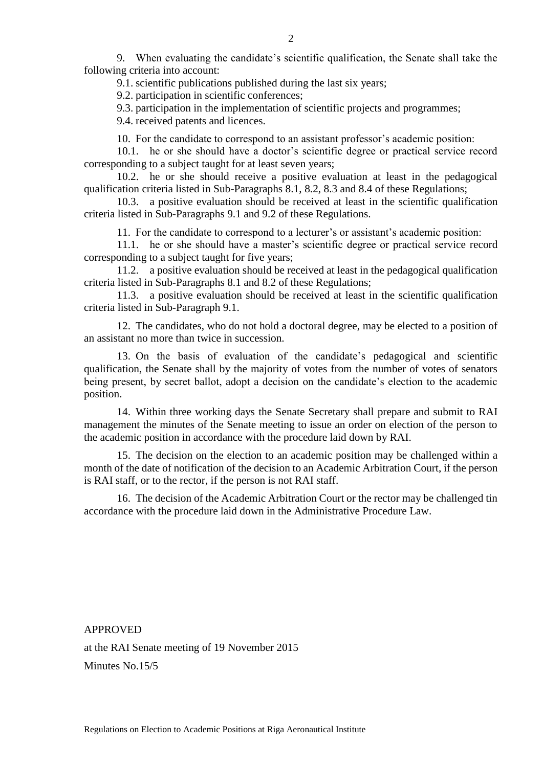9. When evaluating the candidate's scientific qualification, the Senate shall take the following criteria into account:

9.1. scientific publications published during the last six years;

9.2. participation in scientific conferences;

9.3. participation in the implementation of scientific projects and programmes;

9.4. received patents and licences.

10. For the candidate to correspond to an assistant professor's academic position:

10.1. he or she should have a doctor's scientific degree or practical service record corresponding to a subject taught for at least seven years;

10.2. he or she should receive a positive evaluation at least in the pedagogical qualification criteria listed in Sub-Paragraphs 8.1, 8.2, 8.3 and 8.4 of these Regulations;

10.3. a positive evaluation should be received at least in the scientific qualification criteria listed in Sub-Paragraphs 9.1 and 9.2 of these Regulations.

11. For the candidate to correspond to a lecturer's or assistant's academic position:

11.1. he or she should have a master's scientific degree or practical service record corresponding to a subject taught for five years;

11.2. a positive evaluation should be received at least in the pedagogical qualification criteria listed in Sub-Paragraphs 8.1 and 8.2 of these Regulations;

11.3. a positive evaluation should be received at least in the scientific qualification criteria listed in Sub-Paragraph 9.1.

12. The candidates, who do not hold a doctoral degree, may be elected to a position of an assistant no more than twice in succession.

13. On the basis of evaluation of the candidate's pedagogical and scientific qualification, the Senate shall by the majority of votes from the number of votes of senators being present, by secret ballot, adopt a decision on the candidate's election to the academic position.

14. Within three working days the Senate Secretary shall prepare and submit to RAI management the minutes of the Senate meeting to issue an order on election of the person to the academic position in accordance with the procedure laid down by RAI.

15. The decision on the election to an academic position may be challenged within a month of the date of notification of the decision to an Academic Arbitration Court, if the person is RAI staff, or to the rector, if the person is not RAI staff.

16. The decision of the Academic Arbitration Court or the rector may be challenged tin accordance with the procedure laid down in the Administrative Procedure Law.

APPROVED at the RAI Senate meeting of 19 November 2015 Minutes No.15/5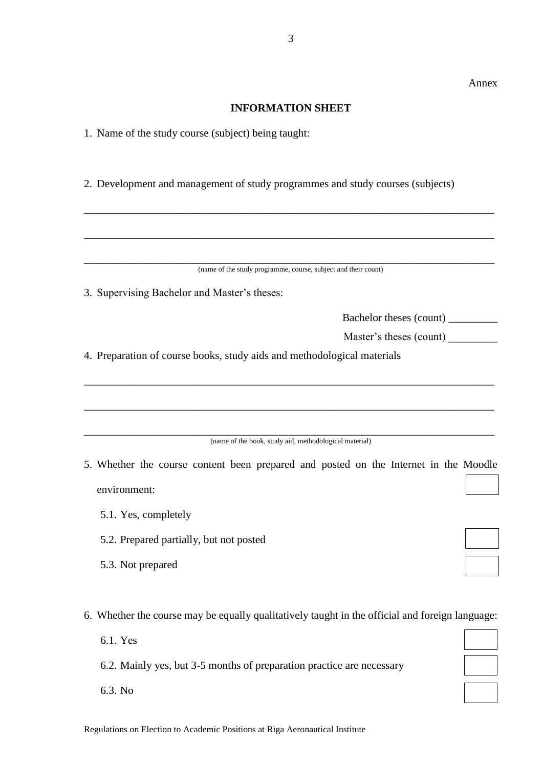## **INFORMATION SHEET**

- 1. Name of the study course (subject) being taught:
- 2. Development and management of study programmes and study courses (subjects)

| (name of the study programme, course, subject and their count)                                  |  |
|-------------------------------------------------------------------------------------------------|--|
| 3. Supervising Bachelor and Master's theses:                                                    |  |
| Bachelor theses (count) __________                                                              |  |
| Master's theses (count)                                                                         |  |
| 4. Preparation of course books, study aids and methodological materials                         |  |
|                                                                                                 |  |
|                                                                                                 |  |
| (name of the book, study aid, methodological material)                                          |  |
| 5. Whether the course content been prepared and posted on the Internet in the Moodle            |  |
| environment:                                                                                    |  |
| 5.1. Yes, completely                                                                            |  |
| 5.2. Prepared partially, but not posted                                                         |  |
| 5.3. Not prepared                                                                               |  |
|                                                                                                 |  |
| 6. Whether the course may be equally qualitatively taught in the official and foreign language: |  |
| 6.1. Yes                                                                                        |  |
| 6.2. Mainly yes, but 3-5 months of preparation practice are necessary                           |  |
| 6.3. No                                                                                         |  |